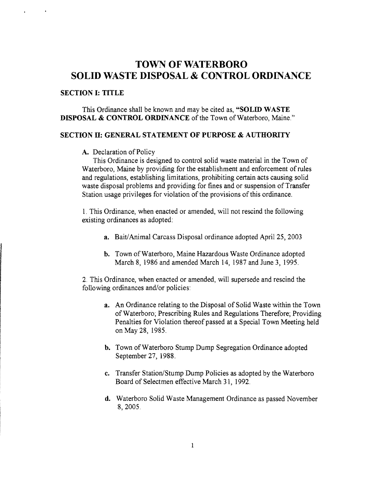# **TOWN** OF WATERBORO **SOLID WASTE DISPOSAL & CONTROL ORDINANCE**

#### **SECTION I: TITLE**

This Ordinance shall be known and may be cited as, **"SOLID WASTE DISPOSAL & CONTROL ORDINANCE** of the Town of Waterboro, Maine."

# **SECTION D: GENERAL STATEMENT OF PURPOSE & AUTHORITY**

#### A. Declaration of Policy

This Ordinance is designed to control solid waste material in the Town of Waterboro, Maine by providing for the establishment and enforcement of rules and regulations, establishing limitations, prohibiting certain acts causing solid waste disposal problems and providing for fines and or suspension of Transfer Station usage privileges for violation of the provisions of this ordinance.

1. This Ordinance, when enacted or amended, will not rescind the following existing ordinances as adopted:

- **a.** Bait/Animal Carcass Disposal ordinance adopted April 25, 2003
- **b.** Town of Waterboro, Maine Hazardous Waste Ordinance adopted March 8, 1986 and amended March 14, 1987 and June 3, 1995.

2. This Ordinance, when enacted or amended, will supersede and rescind the following ordinances and/or policies:

- **a.**  An Ordinance relating to the Disposal of Solid Waste within the Town of Waterboro; Prescribing Rules and Regulations Therefore; Providing Penalties for Violation thereof passed at a Special Town Meeting held on May 28, 1985.
- **b.** Town of Waterboro Stump Dump Segregation Ordinance adopted September 27, 1988.
- **c.**  Transfer Station/Stump Dump Policies as adopted by the Waterboro Board of Selectmen effective March 3 1, 1992.
- d. Waterboro Solid Waste Management Ordinance as passed November 8,2005.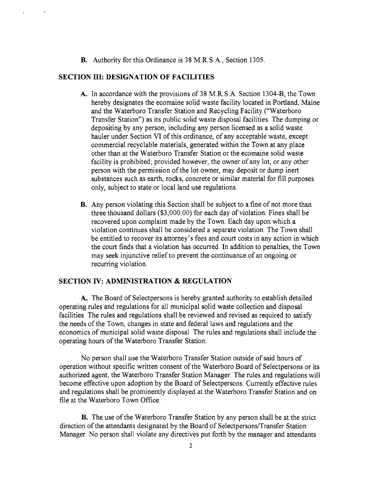**B.** Authority for this Ordinance is 38 M.R.S.A., Section 1305.

### SECTION III: DESIGNATION OF FACILITIES

- A. In accordance with the provisions of 38 M.R.S.A. Section 1304-B, the Town hereby designates the ecomaine solid waste facility located in Portland, Maine and the Waterboro Transfer Station and Recycling Facility ("Waterboro Transfer Station") as its public solid waste disposal facilities. The dumping or depositing by any person, including any person licensed as a solid waste hauler under Section VI of this ordinance, of any acceptable waste, except commercial recyclable materials, generated within the Town at any place other than at the Waterboro Transfer Station or the ecomaine solid waste facility is prohibited; provided however, the owner of any lot, or any other person with the permission of the lot owner, may deposit or dump inert substances such as earth, rocks, concrete or similar material for fill purposes only, subject to state or local land use regulations.
- **B.** Any person violating this Section shall be subject to a fine of not more than three thousand dollars (\$3,000.00) for each day of violation. Fines shall be recovered upon complaint made by the Town. Each day upon which a violation continues shall be considered a separate violation. The Town shall be entitled to recover its attorney's fees and court costs in any action in which the court finds that a violation has occurred. In addition to penalties, the Town may seek injunctive relief to prevent the continuance of an ongoing or recurring violation.

### SECTION IV: ADMINISTRATION & REGULATION

A. The Board of Selectpersons is hereby granted authority to establish detailed operating rules and regulations for all municipal solid waste collection and disposal facilities. The rules and regulations shall be reviewed and revised as required to satisfy the needs of the Town, changes in state and federal laws and regulations and the economics of municipal solid waste disposal. The rules and regulations shall include the operating hours of the Waterboro Transfer Station.

No person shall use the Waterboro Transfer Station outside of said hours of operation without specific written consent of the Waterboro Board of Selectpersons or its authorized agent, the Waterboro Transfer Station Manager. The rules and regulations will become effective upon adoption by the Board of Selectpersons. Currently effective rules and regulations shall be prominently displayed at the Waterboro Transfer Station and on file at the Waterboro Town Office.

B. The use of the Waterboro Transfer Station by any person shall be at the strict direction of the attendants designated by the Board of Selectpersons/Transfer Station Manager. No person shall violate any directives put forth by the manager and attendants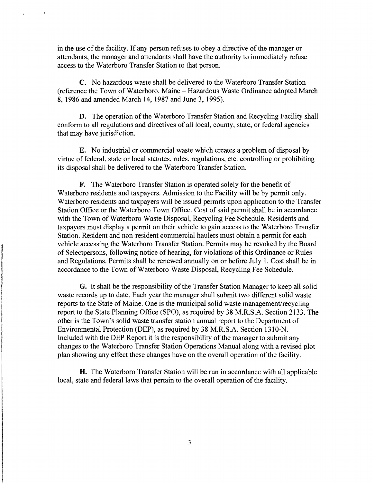in the use of the facility. If any person refuses to obey a directive of the manager or attendants, the manager and attendants shall have the authority to immediately refuse access to the Waterboro Transfer Station to that person.

C. No hazardous waste shall be delivered to the Waterboro Transfer Station (reference the Town of Waterboro, Maine - Hazardous Waste Ordinance adopted March 8, 1986 and amended March 14, 1987 and June 3, 1995).

**D.** The operation of the Waterboro Transfer Station and Recycling Facility shall conform to all regulations and directives of all local, county, state, or federal agencies that may have jurisdiction.

**E.** No industrial or commercial waste which creates a problem of disposal by virtue of federal, state or local statutes, rules, regulations, etc. controlling or prohibiting its disposal shall be delivered to the Waterboro Transfer Station.

**F.** The Waterboro Transfer Station is operated solely for the benefit of Waterboro residents and taxpayers. Admission to the Facility will be by permit only. Waterboro residents and taxpayers will be issued permits upon application to the Transfer Station Office or the Waterboro Town Office. Cost of said permit shall be in accordance with the Town of Waterboro Waste Disposal, Recycling Fee Schedule. Residents and taxpayers must display a permit on their vehicle to gain access to the Waterboro Transfer Station. Resident and non-resident commercial haulers must obtain a permit for each vehicle accessing the Waterboro Transfer Station. Permits may be revoked by the Board of Selectpersons, following notice of hearing, for violations of this Ordinance or Rules and Regulations. Permits shall be renewed annually on or before July 1. Cost shall be in accordance to the Town of Waterboro Waste Disposal, Recycling Fee Schedule.

**G.** It shall be the responsibility of the Transfer Station Manager to keep all solid waste records up to date. Each year the manager shall submit two different solid waste reports to the State of Maine. One is the municipal solid waste management/recycling report to the State Planning Office (SPO), as required by 38 M.R.S.A. Section 2133. The other is the Town's solid waste transfer station annual report to the Department of Environmental Protection (DEP), as required by 38 M.R.S.A. Section 131O-N. Included with the DEP Report it is the responsibility of the manager to submit any changes to the Waterboro Transfer Station Operations Manual along with a revised plot plan showing any effect these changes have on the overall operation of the facility.

**H.** The Waterboro Transfer Station will be run in accordance with all applicable local, state and federal laws that pertain to the overall operation of the facility.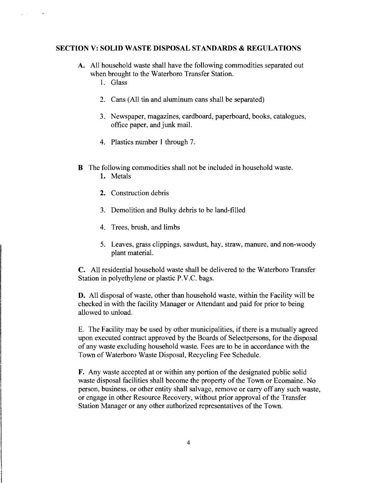#### SECTION V: SOLID WASTE DISPOSAL STANDARDS & REGULATIONS

- A. All household waste shall have the following commodities separated out when brought to the Waterboro Transfer Station.
	- 1. Glass

 $\chi^2 \to \gamma$ 

- 2. Cans (All tin and aluminum cans shall be separated)
- 3. Newspaper, magazines, cardboard, paperboard, books, catalogues, office paper, and junk mail.
- 4. Plastics number 1 through 7.
- B The following commodities shall not be included in household waste.
	- 1. Metals
	- 2. Construction debris
	- 3. Demolition and Bulky debris to be land-filled
	- 4. Trees, brush, and limbs
	- 5. Leaves, grass clippings, sawdust, hay, straw, manure, and non-woody plant material.

C. All residential household waste shall be delivered to the Waterboro Transfer Station in polyethylene or plastic P.V.C. bags.

D. All disposal of waste, other than household waste, within the Facility will be checked in with the facility Manager or Attendant and paid for prior to being allowed to unload.

E. The Facility may be used by other municipalities, if there is a mutually agreed upon executed contract approved by the Boards of Selectpersons, for the disposal of any waste excluding household waste. Fees are to be in accordance with the Town of Waterboro Waste Disposal, Recycling Fee Schedule.

F. Any waste accepted at or within any portion of the designated public solid waste disposal facilities shall become the property of the Town or Ecomaine. No person, business, or other entity shall salvage, remove or carry off any such waste, or engage in other Resource Recovery, without prior approval of the Transfer Station Manager or any other authorized representatives of the Town.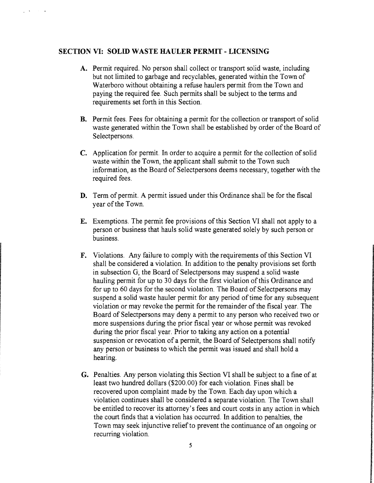# **SECTION VI: SOLID WASTE HAULER PERMIT - LICENSING**

 $\mathbf{y} = \mathbf{A} \mathbf{y}$  , where  $\mathbf{y} = \mathbf{y}$ 

- **A.**  Permit required. No person shall collect or transport solid waste, including but not limited to garbage and recyclables, generated within the Town of Waterboro without obtaining a refuse haulers permit from the Town and paying the required fee. Such permits shall be subject to the terms and requirements set forth in this Section.
- **B.** Permit fees. Fees for obtaining a permit for the collection or transport of solid waste generated within the Town shall be established by order of the Board of Selectpersons.
- C. Application for permit. In order to acquire a permit for the collection of solid waste within the Town, the applicant shall submit to the Town such information, as the Board of Selectpersons deems necessary, together with the required fees.
- **D.** Term of permit. A permit issued under this Ordinance shall be for the fiscal year of the Town.
- **E.** Exemptions. The permit fee provisions of this Section VI shall not apply to a person or business that hauls solid waste generated solely by such person or business.
- **F.** Violations. Any failure to comply with the requirements of this Section VI shall be considered a violation. In addition to the penalty provisions set forth in subsection G, the Board of Selectpersons may suspend a solid waste hauling permit for up to 30 days for the first violation of this Ordinance and for up to 60 days for the second violation. The Board of Selectpersons may suspend a solid waste hauler permit for any period of time for any subsequent violation or may revoke the permit for the remainder of the fiscal year. The Board of Selectpersons may deny a permit to any person who received two or more suspensions during the prior fiscal year or whose permit was revoked during the prior fiscal year. Prior to taking any action on a potential suspension or revocation of a permit, the Board of Selectpersons shall notify any person or business to which the permit was issued and shall hold a hearing.
- **G.** Penalties. Any person violating this Section VI shall be subject to a fine of at least two hundred dollars (\$200.00) for each violation. Fines shall be recovered upon complaint made by the Town. Each day upon which a violation continues shall be considered a separate violation. The Town shall be entitled to recover its attorney's fees and court costs in any action in which the court finds that a violation has occurred. In addition to penalties, the Town may seek injunctive relief to prevent the continuance of an ongoing or recurring violation.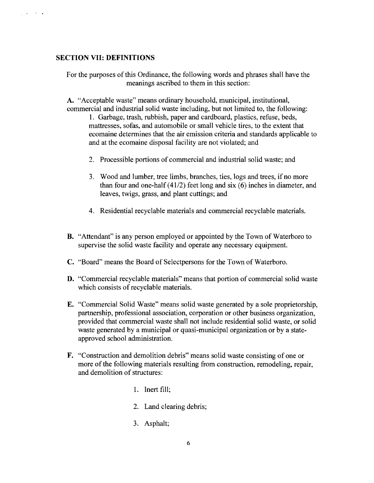# **SECTION VII: DEFINITIONS**

 $\frac{1}{2}$  ,  $\lambda$  ,  $\frac{1}{2}$  ,  $\lambda$  ,  $\frac{1}{2}$ 

For the purposes of this Ordinance, the following words and phrases shall have the meanings ascribed to them in this section:

A. "Acceptable waste" means ordinary household, municipal, institutional, commercial and industrial solid waste including, but not limited to, the following:

1. Garbage, trash, rubbish, paper and cardboard, plastics, refuse, beds, mattresses, sofas, and automobile or small vehicle tires, to the extent that ecomaine determines that the air emission criteria and standards applicable to and at the ecomaine disposal facility are not violated; and

- 2. Processible portions of commercial and industrial solid waste; and
- 3. Wood and lumber, tree limbs, branches, ties, logs and trees, if no more than four and one-half (41/2) feet long and six (6) inches in diameter, and leaves, twigs, grass, and plant cuttings; and
- 4. Residential recyclable materials and commercial recyclable materials.
- **B.** "Attendant" is any person employed or appointed by the Town of Waterboro to supervise the solid waste facility and operate any necessary equipment.
- **C.**  "Board" means the Board of Selectpersons for the Town of Waterboro.
- **D.** "Commercial recyclable materials" means that portion of commercial solid waste which consists of recyclable materials.
- **E.** "Commercial Solid Waste" means solid waste generated by a sole proprietorship, partnership, professional association, corporation or other business organization, provided that commercial waste shall not include residential solid waste, or solid waste generated by a municipal or quasi-municipal organization or by a stateapproved school administration.
- **F.** "Construction and demolition debris" means solid waste consisting of one or more of the following materials resulting from construction, remodeling, repair, and demolition of structures:
	- 1. Inert fill;
	- 2. Land clearing debris;
	- 3. Asphalt;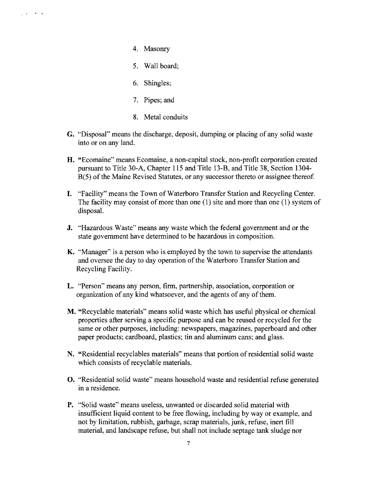$\frac{1}{2}$  ,  $\frac{1}{2}$  ,  $\frac{1}{2}$  ,  $\frac{1}{2}$  ,  $\frac{1}{2}$  ,  $\frac{1}{2}$ 

- 4. Masonry
- 5. Wall board:
- 6. Shingles;
- 7. Pipes; and
- 8. Metal conduits
- G. "Disposal" means the discharge, deposit, dumping or placing of any solid waste into or on any land.
- H. "Ecomaine" means Ecomaine, a non-capital stock, non-profit corporation created pursuant to Title 30-A, Chapter 115 and Title 13-B, and Title 38, Section 1304 B(5) of the Maine Revised Statutes, or any successor thereto or assignee thereof.
- I. "Facility" means the Town of Waterboro Transfer Station and Recycling Center. The facility may consist of more than one (1) site and more than one (1) system of disposal.
- **J.** "Hazardous Waste" means any waste which the federal government and or the state government have determined to be hazardous in composition.
- K. "Manager" is a person who is employed by the town to supervise the attendants and oversee the day to day operation of the Waterboro Transfer Station and Recycling Facility.
- L. "Person" means any person, firm, partnership, association, corporation or organization of any kind whatsoever, and the agents of any of them.
- M. "Recyclable materials" means solid waste which has useful physical or chemical properties after serving a specific purpose and can be reused or recycled for the same or other purposes, including: newspapers, magazines, paperboard and other paper products; cardboard, plastics; tin and aluminum cans; and glass.
- N. "Residential recyclables materials" means that portion of residential solid waste which consists of recyclable materials.
- **O.** "Residential solid waste" means household waste and residential refuse generated in a residence.
- **P.** "Solid waste" means useless, unwanted or discarded solid material with insufficient liquid content to be free flowing, including by way or example, and not by limitation, rubbish, garbage, scrap materials, junk, refuse, inert fill material, and landscape refuse, but shall not include septage tank sludge nor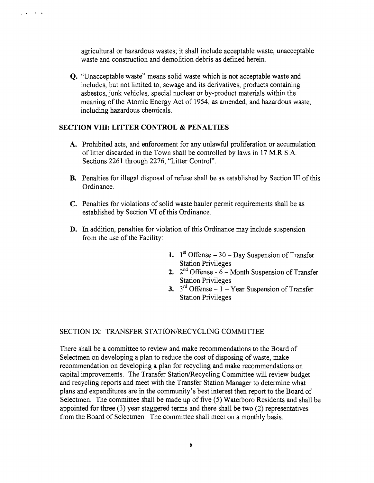agricultural or hazardous wastes; it shall include acceptable waste, unacceptable waste and construction and demolition debris as defined herein.

**Q.** "Unacceptable waste" means solid waste which is not acceptable waste and includes, but not limited to, sewage and its derivatives, products containing asbestos, junk vehicles, special nuclear or by-product materials within the meaning of the Atomic Energy Act of 1954, as amended, and hazardous waste, including hazardous chemicals.

### **SECTIONVIll:** LITTER CONTROL **& PENALTIES**

· .

 $\mathbb{Z}^{\mathbb{Z}^n}$  .

- **A.**  Prohibited acts, and enforcement for any unlawful proliferation or accumulation of litter discarded in the Town shall be controlled by laws in 17 M.R.S.A. Sections 2261 through 2276, "Litter Control".
- **B.** Penalties for illegal disposal of refuse shall be as established by Section III of this Ordinance.
- **C.**  Penalties for violations of solid waste hauler permit requirements shall be as established by Section VI of this Ordinance.
- **D.** In addition, penalties for violation of this Ordinance may include suspension from the use of the Facility:
	- 1.  $1<sup>st</sup>$  Offense 30 Day Suspension of Transfer Station Privileges
	- 2.  $2^{nd}$  Offense  $6 -$  Month Suspension of Transfer Station Privileges
	- **3.**  $3^{rd}$  Offense  $1 -$  Year Suspension of Transfer Station Privileges

## SECTION IX: TRANSFER STATION/RECYCLING COMMITTEE

There shall be a committee to review and make recommendations to the Board of Selectmen on developing a plan to reduce the cost of disposing of waste, make recommendation on developing a plan for recycling and make recommendations on capital improvements. The Transfer Station/Recycling Committee will review budget and recycling reports and meet with the Transfer Station Manager to determine what plans and expenditures are in the community's best interest then report to the Board of Selectmen. The committee shall be made up of five (5) Waterboro Residents and shall be appointed for three  $(3)$  year staggered terms and there shall be two  $(2)$  representatives from the Board of Selectmen. The committee shall meet on a monthly basis.